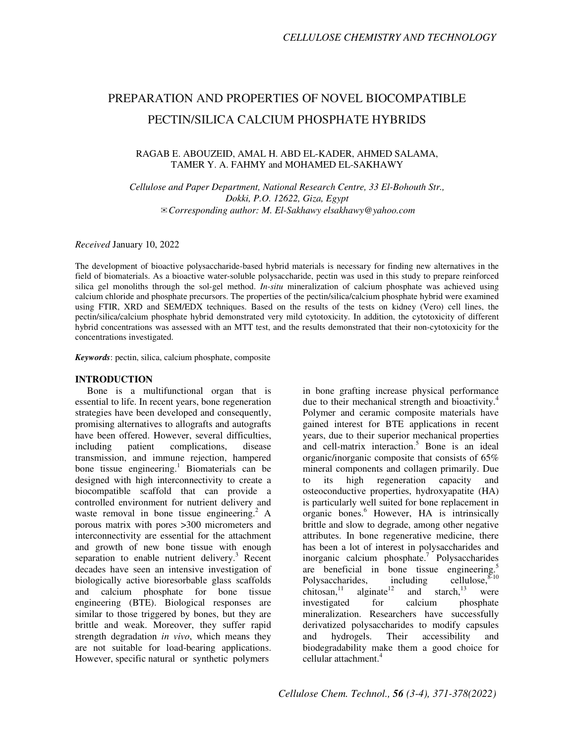# PREPARATION AND PROPERTIES OF NOVEL BIOCOMPATIBLE PECTIN/SILICA CALCIUM PHOSPHATE HYBRIDS

#### RAGAB E. ABOUZEID, AMAL H. ABD EL-KADER, AHMED SALAMA, TAMER Y. A. FAHMY and MOHAMED EL-SAKHAWY

*Cellulose and Paper Department, National Research Centre, 33 El-Bohouth Str., Dokki, P.O. 12622, Giza, Egypt*  ✉*Corresponding author: M. El-Sakhawy elsakhawy@yahoo.com* 

*Received* January 10, 2022

The development of bioactive polysaccharide-based hybrid materials is necessary for finding new alternatives in the field of biomaterials. As a bioactive water-soluble polysaccharide, pectin was used in this study to prepare reinforced silica gel monoliths through the sol-gel method. *In-situ* mineralization of calcium phosphate was achieved using calcium chloride and phosphate precursors. The properties of the pectin/silica/calcium phosphate hybrid were examined using FTIR, XRD and SEM/EDX techniques. Based on the results of the tests on kidney (Vero) cell lines, the pectin/silica/calcium phosphate hybrid demonstrated very mild cytotoxicity. In addition, the cytotoxicity of different hybrid concentrations was assessed with an MTT test, and the results demonstrated that their non-cytotoxicity for the concentrations investigated.

*Keywords*: pectin, silica, calcium phosphate, composite

#### **INTRODUCTION**

Bone is a multifunctional organ that is essential to life. In recent years, bone regeneration strategies have been developed and consequently, promising alternatives to allografts and autografts have been offered. However, several difficulties, including patient complications, disease transmission, and immune rejection, hampered bone tissue engineering.<sup>1</sup> Biomaterials can be designed with high interconnectivity to create a biocompatible scaffold that can provide a controlled environment for nutrient delivery and waste removal in bone tissue engineering.<sup>2</sup> A porous matrix with pores >300 micrometers and interconnectivity are essential for the attachment and growth of new bone tissue with enough separation to enable nutrient delivery.<sup>3</sup> Recent decades have seen an intensive investigation of biologically active bioresorbable glass scaffolds and calcium phosphate for bone tissue engineering (BTE). Biological responses are similar to those triggered by bones, but they are brittle and weak. Moreover, they suffer rapid strength degradation *in vivo*, which means they are not suitable for load-bearing applications. However, specific natural or synthetic polymers

in bone grafting increase physical performance due to their mechanical strength and bioactivity.<sup>4</sup> Polymer and ceramic composite materials have gained interest for BTE applications in recent years, due to their superior mechanical properties and cell-matrix interaction.<sup>5</sup> Bone is an ideal organic/inorganic composite that consists of 65% mineral components and collagen primarily. Due to its high regeneration capacity and osteoconductive properties, hydroxyapatite (HA) is particularly well suited for bone replacement in organic bones.<sup>6</sup> However, HA is intrinsically brittle and slow to degrade, among other negative attributes. In bone regenerative medicine, there has been a lot of interest in polysaccharides and inorganic calcium phosphate.<sup>7</sup> Polysaccharides are beneficial in bone tissue engineering.<sup>5</sup> Polysaccharides, including cellulose,  $\frac{1.11}{1.3}$  cellulose,  $\frac{8.10}{1.3}$  cellulose,  $\frac{8.10}{1.3}$ and starch, $13$  were investigated for calcium phosphate mineralization. Researchers have successfully derivatized polysaccharides to modify capsules and hydrogels. Their accessibility and biodegradability make them a good choice for cellular attachment.<sup>4</sup>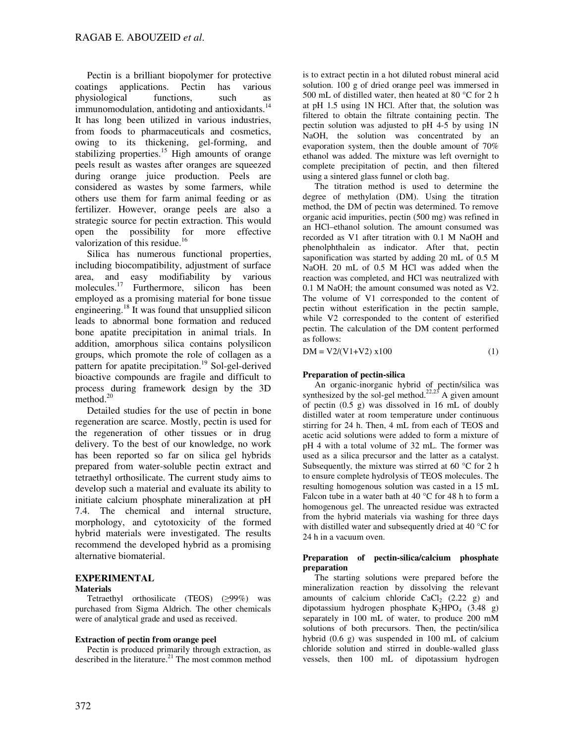Pectin is a brilliant biopolymer for protective coatings applications. Pectin has various physiological functions, such as immunomodulation, antidoting and antioxidants.<sup>14</sup> It has long been utilized in various industries, from foods to pharmaceuticals and cosmetics, owing to its thickening, gel-forming, and stabilizing properties.<sup>15</sup> High amounts of orange peels result as wastes after oranges are squeezed during orange juice production. Peels are considered as wastes by some farmers, while others use them for farm animal feeding or as fertilizer. However, orange peels are also a strategic source for pectin extraction. This would open the possibility for more effective valorization of this residue.<sup>16</sup>

Silica has numerous functional properties, including biocompatibility, adjustment of surface area, and easy modifiability by various molecules.<sup>17</sup> Furthermore, silicon has been employed as a promising material for bone tissue engineering.<sup>18</sup> It was found that unsupplied silicon leads to abnormal bone formation and reduced bone apatite precipitation in animal trials. In addition, amorphous silica contains polysilicon groups, which promote the role of collagen as a pattern for apatite precipitation.<sup>19</sup> Sol-gel-derived bioactive compounds are fragile and difficult to process during framework design by the 3D method.<sup>20</sup>

Detailed studies for the use of pectin in bone regeneration are scarce. Mostly, pectin is used for the regeneration of other tissues or in drug delivery. To the best of our knowledge, no work has been reported so far on silica gel hybrids prepared from water-soluble pectin extract and tetraethyl orthosilicate. The current study aims to develop such a material and evaluate its ability to initiate calcium phosphate mineralization at pH 7.4. The chemical and internal structure, morphology, and cytotoxicity of the formed hybrid materials were investigated. The results recommend the developed hybrid as a promising alternative biomaterial.

## **EXPERIMENTAL**

#### **Materials**

Tetraethyl orthosilicate (TEOS) (≥99%) was purchased from Sigma Aldrich. The other chemicals were of analytical grade and used as received.

#### **Extraction of pectin from orange peel**

Pectin is produced primarily through extraction, as described in the literature. $21$  The most common method is to extract pectin in a hot diluted robust mineral acid solution. 100 g of dried orange peel was immersed in 500 mL of distilled water, then heated at 80 °C for 2 h at pH 1.5 using 1N HCl. After that, the solution was filtered to obtain the filtrate containing pectin. The pectin solution was adjusted to pH 4-5 by using 1N NaOH, the solution was concentrated by an evaporation system, then the double amount of 70% ethanol was added. The mixture was left overnight to complete precipitation of pectin, and then filtered using a sintered glass funnel or cloth bag.

The titration method is used to determine the degree of methylation (DM). Using the titration method, the DM of pectin was determined. To remove organic acid impurities, pectin (500 mg) was refined in an HCl–ethanol solution. The amount consumed was recorded as V1 after titration with 0.1 M NaOH and phenolphthalein as indicator. After that, pectin saponification was started by adding 20 mL of 0.5 M NaOH. 20 mL of 0.5 M HCl was added when the reaction was completed, and HCl was neutralized with 0.1 M NaOH; the amount consumed was noted as V2. The volume of V1 corresponded to the content of pectin without esterification in the pectin sample, while V2 corresponded to the content of esterified pectin. The calculation of the DM content performed as follows:

 $DM = V2/(V1+V2) \times 100$  (1)

## **Preparation of pectin-silica**

An organic-inorganic hybrid of pectin/silica was synthesized by the sol-gel method.<sup>22,23</sup> A given amount of pectin (0.5 g) was dissolved in 16 mL of doubly distilled water at room temperature under continuous stirring for 24 h. Then, 4 mL from each of TEOS and acetic acid solutions were added to form a mixture of pH 4 with a total volume of 32 mL. The former was used as a silica precursor and the latter as a catalyst. Subsequently, the mixture was stirred at 60  $\degree$ C for 2 h to ensure complete hydrolysis of TEOS molecules. The resulting homogenous solution was casted in a 15 mL Falcon tube in a water bath at  $40^{\circ}$ C for  $48$  h to form a homogenous gel. The unreacted residue was extracted from the hybrid materials via washing for three days with distilled water and subsequently dried at 40 °C for 24 h in a vacuum oven.

#### **Preparation of pectin-silica/calcium phosphate preparation**

The starting solutions were prepared before the mineralization reaction by dissolving the relevant amounts of calcium chloride  $CaCl<sub>2</sub>$  (2.22 g) and dipotassium hydrogen phosphate  $K_2HPO_4$  (3.48 g) separately in 100 mL of water, to produce 200 mM solutions of both precursors. Then, the pectin/silica hybrid (0.6 g) was suspended in 100 mL of calcium chloride solution and stirred in double-walled glass vessels, then 100 mL of dipotassium hydrogen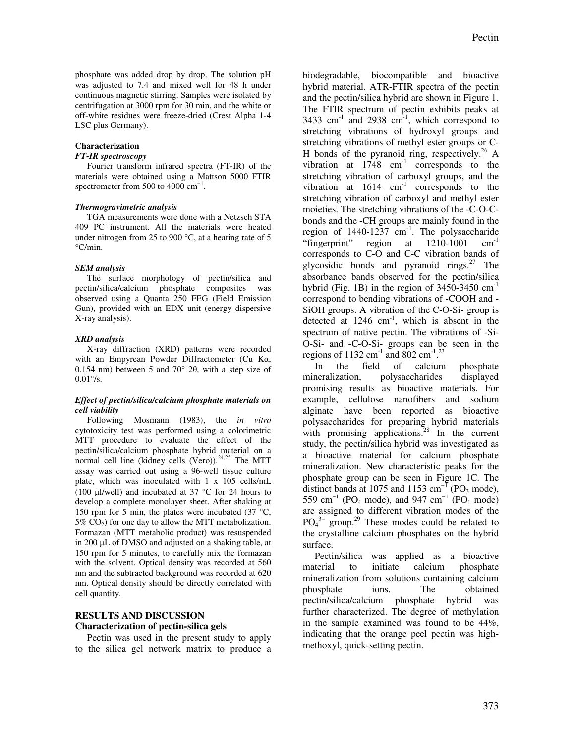phosphate was added drop by drop. The solution pH was adjusted to 7.4 and mixed well for 48 h under continuous magnetic stirring. Samples were isolated by centrifugation at 3000 rpm for 30 min, and the white or off-white residues were freeze-dried (Crest Alpha 1-4 LSC plus Germany).

#### **Characterization**

#### *FT-IR spectroscopy*

Fourier transform infrared spectra (FT-IR) of the materials were obtained using a Mattson 5000 FTIR spectrometer from 500 to 4000  $\text{cm}^{-1}$ .

#### *Thermogravimetric analysis*

TGA measurements were done with a Netzsch STA 409 PC instrument. All the materials were heated under nitrogen from 25 to 900 °C, at a heating rate of 5 °C/min.

#### *SEM analysis*

The surface morphology of pectin/silica and pectin/silica/calcium phosphate composites was observed using a Quanta 250 FEG (Field Emission Gun), provided with an EDX unit (energy dispersive X-ray analysis).

#### *XRD analysis*

X-ray diffraction (XRD) patterns were recorded with an Empyrean Powder Diffractometer (Cu Kα, 0.154 nm) between 5 and 70 $^{\circ}$  2 $\theta$ , with a step size of  $0.01\degree$ /s.

#### *Effect of pectin/silica/calcium phosphate materials on cell viability*

Following Mosmann (1983), the *in vitro* cytotoxicity test was performed using a colorimetric MTT procedure to evaluate the effect of the pectin/silica/calcium phosphate hybrid material on a normal cell line (kidney cells (Vero)).<sup>24,25</sup> The MTT assay was carried out using a 96-well tissue culture plate, which was inoculated with 1 x 105 cells/mL (100 µl/well) and incubated at 37 °C for 24 hours to develop a complete monolayer sheet. After shaking at 150 rpm for 5 min, the plates were incubated (37  $\degree$ C,  $5\%$  CO<sub>2</sub>) for one day to allow the MTT metabolization. Formazan (MTT metabolic product) was resuspended in 200 µL of DMSO and adjusted on a shaking table, at 150 rpm for 5 minutes, to carefully mix the formazan with the solvent. Optical density was recorded at 560 nm and the subtracted background was recorded at 620 nm. Optical density should be directly correlated with cell quantity.

## **RESULTS AND DISCUSSION Characterization of pectin-silica gels**

Pectin was used in the present study to apply to the silica gel network matrix to produce a biodegradable, biocompatible and bioactive hybrid material. ATR-FTIR spectra of the pectin and the pectin/silica hybrid are shown in Figure 1. The FTIR spectrum of pectin exhibits peaks at 3433 cm<sup>-1</sup> and 2938 cm<sup>-1</sup>, which correspond to stretching vibrations of hydroxyl groups and stretching vibrations of methyl ester groups or C-H bonds of the pyranoid ring, respectively.<sup>26</sup> A vibration at  $1748 \text{ cm}^{-1}$  corresponds to the stretching vibration of carboxyl groups, and the vibration at  $1614$   $cm^{-1}$  corresponds to the stretching vibration of carboxyl and methyl ester moieties. The stretching vibrations of the -C-O-Cbonds and the -CH groups are mainly found in the region of  $1440-1237$  cm<sup>-1</sup>. The polysaccharide<br>"fingerprint" region at  $1210-1001$  cm<sup>-1</sup> "fingerprint" region at  $1210-1001$ corresponds to C-O and C-C vibration bands of glycosidic bonds and pyranoid rings. $^{27}$  The absorbance bands observed for the pectin/silica hybrid (Fig. 1B) in the region of  $3450-3450$  cm<sup>-1</sup> correspond to bending vibrations of -COOH and - SiOH groups. A vibration of the C-O-Si- group is detected at 1246 cm<sup>-1</sup>, which is absent in the spectrum of native pectin. The vibrations of -Si-O-Si- and -C-O-Si- groups can be seen in the regions of  $1132 \text{ cm}^{-1}$  and  $802 \text{ cm}^{-1}$ .<sup>23</sup>

In the field of calcium phosphate mineralization, polysaccharides displayed promising results as bioactive materials. For example, cellulose nanofibers and sodium alginate have been reported as bioactive polysaccharides for preparing hybrid materials with promising applications. $^{28}$  In the current study, the pectin/silica hybrid was investigated as a bioactive material for calcium phosphate mineralization. New characteristic peaks for the phosphate group can be seen in Figure 1C. The distinct bands at 1075 and 1153 cm<sup>-1</sup> (PO<sub>3</sub> mode), 559 cm<sup>-1</sup> (PO<sub>4</sub> mode), and 947 cm<sup>-1</sup> (PO<sub>1</sub> mode) are assigned to different vibration modes of the  $PO<sub>4</sub><sup>3-</sup>$  group.<sup>29</sup> These modes could be related to the crystalline calcium phosphates on the hybrid surface.

Pectin/silica was applied as a bioactive material to initiate calcium phosphate mineralization from solutions containing calcium phosphate ions. The obtained pectin/silica/calcium phosphate hybrid was further characterized. The degree of methylation in the sample examined was found to be 44%, indicating that the orange peel pectin was highmethoxyl, quick-setting pectin.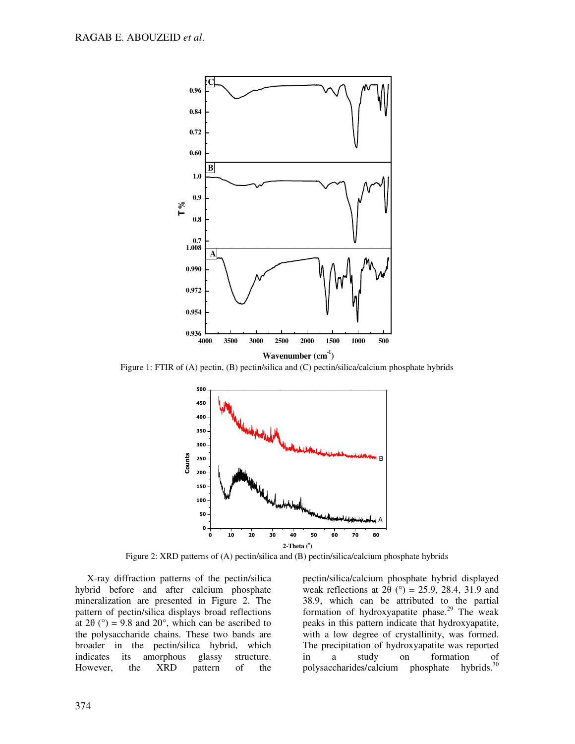

Figure 1: FTIR of (A) pectin, (B) pectin/silica and (C) pectin/silica/calcium phosphate hybrids



Figure 2: XRD patterns of (A) pectin/silica and (B) pectin/silica/calcium phosphate hybrids

X-ray diffraction patterns of the pectin/silica hybrid before and after calcium phosphate mineralization are presented in Figure 2. The pattern of pectin/silica displays broad reflections at  $2\theta$  (°) = 9.8 and  $20^{\circ}$ , which can be ascribed to the polysaccharide chains. These two bands are broader in the pectin/silica hybrid, which indicates its amorphous glassy structure. However, the XRD pattern of the

pectin/silica/calcium phosphate hybrid displayed weak reflections at  $2\theta$  (°) = 25.9, 28.4, 31.9 and 38.9, which can be attributed to the partial formation of hydroxyapatite phase.<sup>29</sup> The weak peaks in this pattern indicate that hydroxyapatite, with a low degree of crystallinity, was formed. The precipitation of hydroxyapatite was reported in a study on formation of polysaccharides/calcium phosphate hybrids.<sup>30</sup>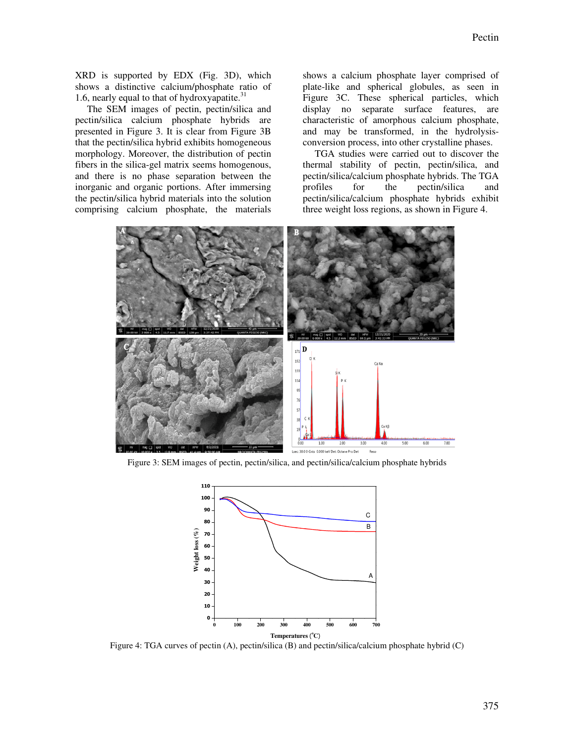XRD is supported by EDX (Fig. 3D), which shows a distinctive calcium/phosphate ratio of 1.6, nearly equal to that of hydroxyapatite. $31$ 

The SEM images of pectin, pectin/silica and pectin/silica calcium phosphate hybrids are presented in Figure 3. It is clear from Figure 3B that the pectin/silica hybrid exhibits homogeneous morphology. Moreover, the distribution of pectin fibers in the silica-gel matrix seems homogenous, and there is no phase separation between the inorganic and organic portions. After immersing the pectin/silica hybrid materials into the solution comprising calcium phosphate, the materials

shows a calcium phosphate layer comprised of plate-like and spherical globules, as seen in Figure 3C. These spherical particles, which display no separate surface features, are characteristic of amorphous calcium phosphate, and may be transformed, in the hydrolysisconversion process, into other crystalline phases.

TGA studies were carried out to discover the thermal stability of pectin, pectin/silica, and pectin/silica/calcium phosphate hybrids. The TGA profiles for the pectin/silica and pectin/silica/calcium phosphate hybrids exhibit three weight loss regions, as shown in Figure 4.



Figure 3: SEM images of pectin, pectin/silica, and pectin/silica/calcium phosphate hybrids



Figure 4: TGA curves of pectin (A), pectin/silica (B) and pectin/silica/calcium phosphate hybrid (C)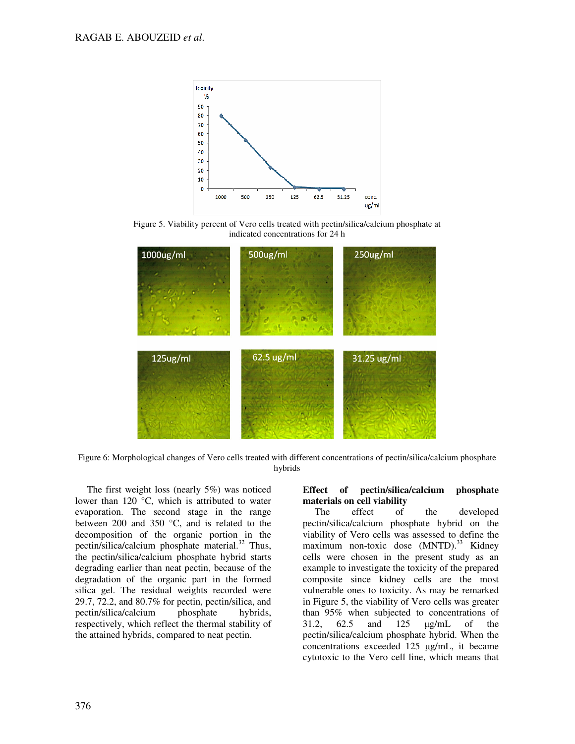

Figure 5. Viability percent of Vero cells treated with pectin/silica/calcium phosphate at indicated concentrations for 24 h



Figure 6: Morphological changes of Vero cells treated with different concentrations of pectin/silica/calcium phosphate hybrids

The first weight loss (nearly 5%) was noticed lower than 120 °C, which is attributed to water evaporation. The second stage in the range between 200 and 350 °C, and is related to the decomposition of the organic portion in the pectin/silica/calcium phosphate material. $32$  Thus, the pectin/silica/calcium phosphate hybrid starts degrading earlier than neat pectin, because of the degradation of the organic part in the formed silica gel. The residual weights recorded were 29.7, 72.2, and 80.7% for pectin, pectin/silica, and pectin/silica/calcium phosphate hybrids, respectively, which reflect the thermal stability of the attained hybrids, compared to neat pectin.

## **Effect of pectin/silica/calcium phosphate materials on cell viability**<br>The effect of

of the developed pectin/silica/calcium phosphate hybrid on the viability of Vero cells was assessed to define the maximum non-toxic dose (MNTD).<sup>33</sup> Kidney cells were chosen in the present study as an example to investigate the toxicity of the prepared composite since kidney cells are the most vulnerable ones to toxicity. As may be remarked in Figure 5, the viability of Vero cells was greater than 95% when subjected to concentrations of 31.2, 62.5 and 125 µg/mL of the pectin/silica/calcium phosphate hybrid. When the concentrations exceeded 125 µg/mL, it became cytotoxic to the Vero cell line, which means that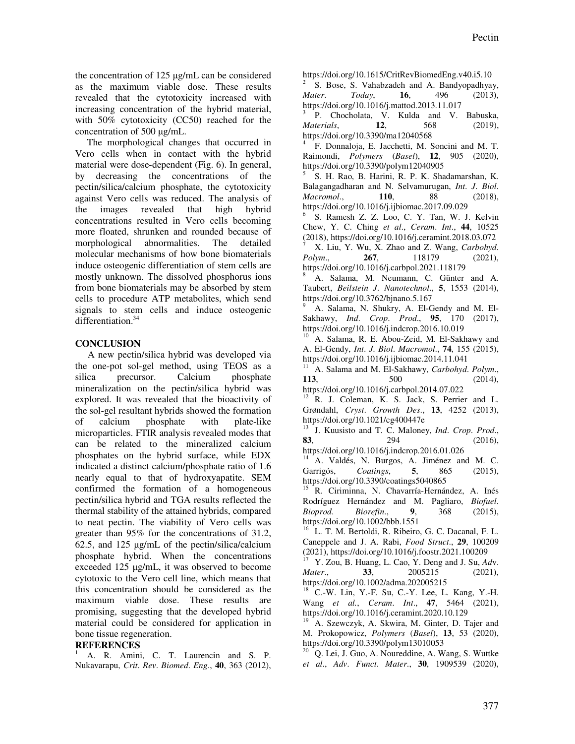the concentration of 125 µg/mL can be considered as the maximum viable dose. These results revealed that the cytotoxicity increased with increasing concentration of the hybrid material, with 50% cytotoxicity (CC50) reached for the concentration of 500 µg/mL.

The morphological changes that occurred in Vero cells when in contact with the hybrid material were dose-dependent (Fig. 6). In general, by decreasing the concentrations of the pectin/silica/calcium phosphate, the cytotoxicity against Vero cells was reduced. The analysis of the images revealed that high hybrid concentrations resulted in Vero cells becoming more floated, shrunken and rounded because of morphological abnormalities. The detailed molecular mechanisms of how bone biomaterials induce osteogenic differentiation of stem cells are mostly unknown. The dissolved phosphorus ions from bone biomaterials may be absorbed by stem cells to procedure ATP metabolites, which send signals to stem cells and induce osteogenic differentiation.<sup>34</sup>

## **CONCLUSION**

A new pectin/silica hybrid was developed via the one-pot sol-gel method, using TEOS as a silica precursor. Calcium phosphate mineralization on the pectin/silica hybrid was explored. It was revealed that the bioactivity of the sol-gel resultant hybrids showed the formation of calcium phosphate with plate-like microparticles. FTIR analysis revealed modes that can be related to the mineralized calcium phosphates on the hybrid surface, while EDX indicated a distinct calcium/phosphate ratio of 1.6 nearly equal to that of hydroxyapatite. SEM confirmed the formation of a homogeneous pectin/silica hybrid and TGA results reflected the thermal stability of the attained hybrids, compared to neat pectin. The viability of Vero cells was greater than 95% for the concentrations of 31.2, 62.5, and 125 µg/mL of the pectin/silica/calcium phosphate hybrid. When the concentrations exceeded 125 µg/mL, it was observed to become cytotoxic to the Vero cell line, which means that this concentration should be considered as the maximum viable dose. These results are promising, suggesting that the developed hybrid material could be considered for application in bone tissue regeneration.

## **REFERENCES**

<sup>1</sup> A. R. Amini, C. T. Laurencin and S. P. Nukavarapu, *Crit*. *Rev*. *Biomed*. *Eng*., **40**, 363 (2012), https://doi.org/10.1615/CritRevBiomedEng.v40.i5.10

2 S. Bose, S. Vahabzadeh and A. Bandyopadhyay, *Mater*. *Today*, **16**, 496 (2013), https://doi.org/10.1016/j.mattod.2013.11.017

3 P. Chocholata, V. Kulda and V. Babuska, *Materials*, **12**, 568 (2019), https://doi.org/10.3390/ma12040568

4 F. Donnaloja, E. Jacchetti, M. Soncini and M. T. Raimondi, *Polymers* (*Basel*), **12**, 905 (2020), https://doi.org/10.3390/polym12040905

5 S. H. Rao, B. Harini, R. P. K. Shadamarshan, K. Balagangadharan and N. Selvamurugan, *Int*. *J*. *Biol*. *Macromol*., **110**, 88 (2018), https://doi.org/10.1016/j.ijbiomac.2017.09.029

6 S. Ramesh Z. Z. Loo, C. Y. Tan, W. J. Kelvin Chew, Y. C. Ching *et al*., *Ceram*. *Int*., **44**, 10525 (2018), https://doi.org/10.1016/j.ceramint.2018.03.072

<sup>7</sup> X. Liu, Y. Wu, X. Zhao and Z. Wang, *Carbohyd*. *Polym*., **267**, 118179 (2021), https://doi.org/10.1016/j.carbpol.2021.118179

<sup>8</sup> A. Salama, M. Neumann, C. Günter and A. Taubert, *Beilstein J*. *Nanotechnol*., **5**, 1553 (2014), https://doi.org/10.3762/bjnano.5.167

<sup>9</sup> A. Salama, N. Shukry, A. El-Gendy and M. El-Sakhawy, *Ind*. *Crop*. *Prod*., **95**, 170 (2017), https://doi.org/10.1016/j.indcrop.2016.10.019

A. Salama, R. E. Abou-Zeid, M. El-Sakhawy and A. El-Gendy, *Int*. *J*. *Biol*. *Macromol*., **74**, 155 (2015), https://doi.org/10.1016/j.ijbiomac.2014.11.041

<sup>11</sup> A. Salama and M. El-Sakhawy, *Carbohyd*. *Polym*., **113**, 500 (2014),

https://doi.org/10.1016/j.carbpol.2014.07.022 <sup>12</sup> R. J. Coleman, K. S. Jack, S. Perrier and L.

Grøndahl, *Cryst*. *Growth Des*., **13**, 4252 (2013), https://doi.org/10.1021/cg400447e

<sup>13</sup> J. Kuusisto and T. C. Maloney, *Ind*. *Crop*. *Prod*., **83**, 294 (2016),

https://doi.org/10.1016/j.indcrop.2016.01.026 A. Valdés, N. Burgos, A. Jiménez and M. C. Garrigós, *Coatings*, **5**, 865 (2015), https://doi.org/10.3390/coatings5040865

<sup>15</sup> R. Ciriminna, N. Chavarría-Hernández, A. Inés Rodríguez Hernández and M. Pagliaro, *Biofuel*. *Bioprod*. *Biorefin*., **9**, 368 (2015), https://doi.org/10.1002/bbb.1551

L. T. M. Bertoldi, R. Ribeiro, G. C. Dacanal, F. L. Caneppele and J. A. Rabi, *Food Struct*., **29**, 100209  $(2021)$ , https://doi.org/10.1016/j.foostr.2021.100209

<sup>17</sup> Y. Zou, B. Huang, L. Cao, Y. Deng and J. Su, *Ad*v. *Mater*., **33**, 2005215 (2021), https://doi.org/10.1002/adma.202005215

 $18$  C.-W. Lin, Y.-F. Su, C.-Y. Lee, L. Kang, Y.-H. Wang *et al.*, *Ceram*. *Int*., **47**, 5464 (2021), https://doi.org/10.1016/j.ceramint.2020.10.129

A. Szewczyk, A. Skwira, M. Ginter, D. Tajer and M. Prokopowicz, *Polymers* (*Basel*), **13**, 53 (2020), https://doi.org/10.3390/polym13010053

 $20$  Q. Lei, J. Guo, A. Noureddine, A. Wang, S. Wuttke *et al*., *Adv*. *Funct*. *Mater*., **30**, 1909539 (2020),